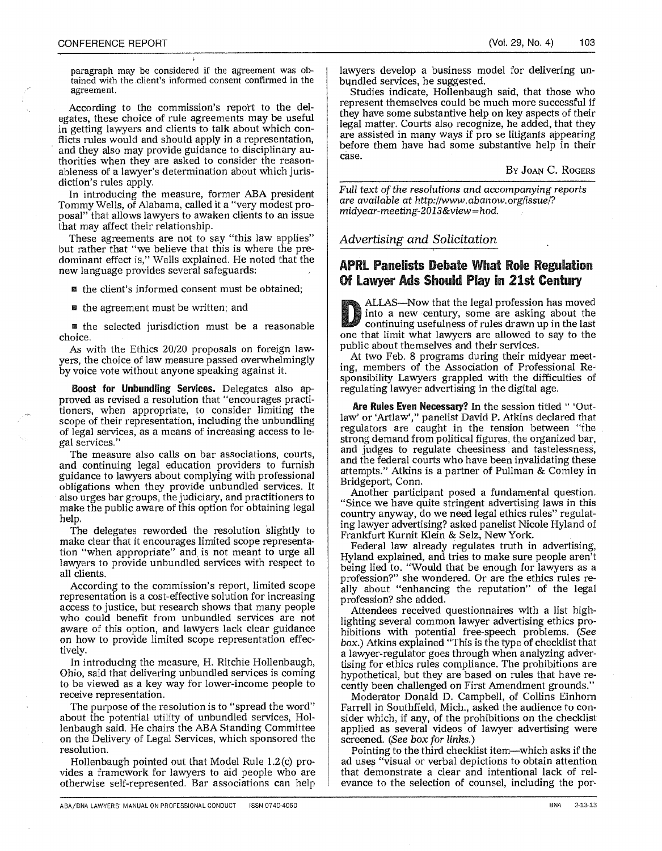paragraph may be considered if the agreement was obtained with the client's informed consent confirmed in the agreement.

According to the commission's report to the delegates, these choice of rule agreements may be useful in getting lawyers and clients to talk about which conflicts rules would and should apply in a representation, and they also may provide guidance to disciplinary authorities when they are asked to consider the reasonableness of a lawyer's determination about which jurisdiction's rules apply.

In introducing the measure, former ABA president Tommy Wells, of Alabama, called it a "very modest proposal" that allows lawyers to awaken clients to an issue that may affect their relationship.

These agreements are not to say "this law applies" but rather that "we believe that this is where the predominant effect is," Wells explained. He noted that the new language provides several safeguards:

 $\blacksquare$  the client's informed consent must be obtained;

■ the agreement must be written; and

**■** the selected jurisdiction must be a reasonable choice.

As with the Ethics 20/20 proposals on foreign lawyers, the choice of law measure passed overwhelmingly by voice vote without anyone speaking against it.

Boost for Unbundling Services. Delegates also approved as revised a resolution that "encourages practitioners, when appropriate, to consider limiting the scope of their representation, including the unbundling of legal services, as a means of increasing access to legal services."

The measure also calls on bar associations, courts, and continuing legal education providers to furnish guidance to lawyers about complying with professional obligations when they provide unbundled services. It also urges bar groups, the judiciary, and practitioners to make the public aware of this option for obtaining legal help.

The delegates reworded the resolution slightly to make clear that it encourages limited scope representation "when appropriate" and is not meant to urge all lawyers to provide unbundled services with respect to all clients.

According to the commission's report, limited scope representation is a cost-effective solution for increasing access to justice, but research shows that many people who could benefit from unbundled services are not aware of this option, and lawyers lack clear guidance on how to provide limited scope representation effectively.

In introducing the measure, H. Ritchie Hollenbaugh, Ohio, said that delivering unbundled services is coming to be viewed as a key way for lower-income people to receive representation.

The purpose of the resolution is to "spread the word" about the potential utility of unbundled services, Hollenbaugh said. He chairs the ABA Standing Committee on the Delivery of Legal Services, which sponsored the resolution.

Hollenbaugh pointed out that Model Rule 1.2(c) provides a framework for lawyers to aid people who are otherwise self-represented. Bar associations can help

lawyers develop a business model for delivering unbundled services, he suggested.

Studies indicate, Hollenbaugh said, that those who represent themselves could be much more successful if they have some substantive help on key aspects of their legal matter. Courts also recognize, he added, that they are assisted in many ways if pro se litigants appearing before them have had some substantive help in their case.

BY JOAN C. ROGERS

*Full text of the resolutions* and accompanying reports are *available* at *http://www.abanow.org/issue/?*  midyear- meeting-20/ *Mview* =hod.

### *Advertising* and *Solicitation*

# **APRL Panelists Debate What Role Regulation Of Lawyer Ads Should Play in 21st Century**

**D** ALLAS—Now that the legal profession has moved into a new century, some are asking about the continuing usefulness of rules drawn up in the last one that limit what lawyers are allowed to say to the public about themselves and their services.

At two Feb. 8 programs during their midyear meeting, members of the Association of Professional Responsibility Lawyers grappled with the difficulties of regulating lawyer advertising in the digital age.

*Are* Rules Even Necessary? In the session titled " 'Outlaw' or 'Artlaw'," panelist David P. Atkins declared that regulators are caught in the tension between "the strong demand from political figures, the organized bar, and judges to regulate cheesiness and tastelessness, and the federal courts who have been invalidating these attempts." Atkins is a partner of Pullman & Comley in Bridgeport, Conn.

Another participant posed a fundamental question. "Since we have quite stringent advertising laws in this country anyway, do we need legal ethics rules" regulating lawyer advertising? asked panelist Nicole Hyland of Frankfurt Kurnit Klein & Selz, New York.

Federal law already regulates truth in advertising, Hyland explained, and tries to make sure people aren't being lied to. "Would that be enough for lawyers as a profession?" she wondered. Or are the ethics rules really about "enhancing the reputation" of the legal profession? she added.

Attendees received questionnaires with a list highlighting several common lawyer advertising ethics prohibitions with potential free-speech problems. *(See*  box.) Atkins explained "This is the type of checklist that a lawyer-regulator goes through when analyzing advertising for ethics rules compliance. The prohibitions are hypothetical, but they are based on rules that have recently been challenged on First Amendment grounds."

Moderator Donald D. Campbell, of Collins Einhorn Farrell in Southfield, Mich., asked the audience to consider which, if any, of the prohibitions on the checklist applied as several videos of lawyer advertising were screened. (See *box for links.)* 

Pointing to the third checklist item—which asks if the ad uses "visual or verbal depictions to obtain attention that demonstrate a clear and intentional lack of relevance to the selection of counsel, including the por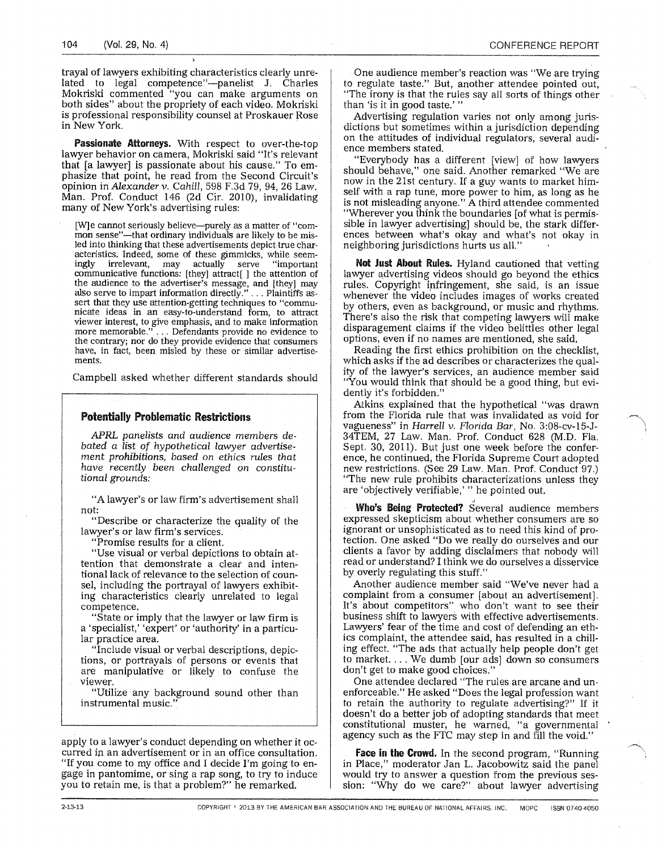trayal of lawyers exhibiting characteristics clearly unrelated to legal competence"—panelist J. Charles Mokriski commented "you can make arguments on both sides" about the propriety of each video. Mokriski is professional responsibility counsel at Proskauer Rose in New York.

Passionate Attorneys. With respect to over-the-top lawyer behavior on camera, Mokriski said "It's relevant that [a lawyer] is passionate about his cause." To emphasize that point, he read from the Second Circuit's opinion in Alexander v. *Cahill,* 598 F.3d 79, 94, 26 Law. Man. Prof. Conduct 146 (2d Cir. 2010), invalidating many of New York's advertising rules:

[VV]e cannot seriously believe—purely as a matter of "common sense"—that ordinary individuals are likely to be misled into thinking that these advertisements depict true characteristics. Indeed, some of these gimmicks, while seem-<br>ingly irrelevant, may actually serve "important ingly irrelevant, may communicative functions: [they] attract[ ] the attention of the audience to the advertiser's message, and [they] may also serve to impart information directly."  $\dots$  Plaintiffs assert that they use attention-getting techniques to "communicate ideas in an easy-to-understand form, to attract viewer interest, to give emphasis, and to make information more memorable." . . . Defendants provide no evidence to the contrary; nor do they provide evidence that consumers have, in fact, been misled by these or similar advertisements.

Campbell asked whether different standards should

#### **Potentially Problematic Restrictions**

*APRL panelists* and *audience members debated* a *list* of *hypothetical* lawyer *advertisement prohibitions, based on ethics* rules that have recently been *challenged* on constitutional *grounds:* 

"A lawyer's or law firm's advertisement shall not:

"Describe or characterize the quality of the lawyer's or law firm's services.

"Promise results for a client.

"Use visual or verbal depictions to obtain attention that demonstrate a clear and intentional lack of relevance to the selection of counsel, including the portrayal of lawyers exhibiting characteristics clearly unrelated to legal competence.

"State or imply that the lawyer or law firm is a 'specialist,' expert' or 'authority' in a particular practice area.

"Include visual or verbal descriptions, depictions, or portrayals of persons or events that are manipulative or likely to confuse the viewer.

"Utilize any background sound other than instrumental music."

apply to a lawyer's conduct depending on whether it occurred in an advertisement or in an office consultation. "If you come to my office and I decide I'm going to engage in pantomime, or sing a rap song, to try to induce you to retain me, is that a problem?" he remarked.

One audience member's reaction was "We are trying to regulate taste." But, another attendee pointed out, "The irony is that the rules say all sorts of things other than 'is it in good taste.' "

Advertising regulation varies not only among jurisdictions but sometimes within a jurisdiction depending on the attitudes of individual regulators, several audience members stated.

"Everybody has a different [view] of how lawyers should behave," one said. Another remarked "We are now in the 21st century. If a guy wants to market himself with a rap tune, more power to him, as long as he is not misleading anyone." A third attendee commented "Wherever you think the boundaries [of what is permissible in lawyer advertising] should be, the stark differences between what's okay and what's not okay in neighboring jurisdictions hurts us all."

Not Just About Rules. Hyland cautioned that vetting lawyer advertising videos should go beyond the ethics rules. Copyright infringement, she said, is an issue whenever the video includes images of works created by others, even as background, or music and rhythms. There's also the risk that competing lawyers will make disparagement claims if the video belittles other legal options, even if no names are mentioned, she said.

Reading the first ethics prohibition on the checklist, which asks if the ad describes or characterizes the quality of the lawyer's services, an audience member said "You would think that should be a good thing, but evidently it's forbidden."

Atkins explained that the hypothetical "was drawn from the Florida rule that was invalidated as void for vagueness" in *Harrell v. Florida Bar,* No. 3:08-cv-15-J-34TEM, 27 Law. Man. Prof. Conduct 628 (M.D. Fla. Sept. 30, 2011). But just one week before the conference, he continued, the Florida Supreme Court adopted new restrictions. (See 29 Law. Man. Prof. Conduct 97.) "The new rule prohibits characterizations unless they are 'objectively verifiable,"' he pointed out.

Who's Being Protected? Several audience members expressed skepticism about whether consumers are so ignorant or unsophisticated as to need this kind of protection. One asked "Do we really do ourselves and our clients a favor by adding disclaimers that nobody will read or understand? I think we do ourselves a disservice by overly regulating this stuff."

Another audience member said "We've never had a complaint from a consumer [about an advertisement]. It's about competitors" who don't want to see their business shift to lawyers with effective advertisements. Lawyers' fear of the time and cost of defending an ethics complaint, the attendee said, has resulted in a chilling effect. "The ads that actually help people don't get to market. .. . We dumb [our ads] down so consumers don't get to make good choices.'

One attendee declared "The rules are arcane and unenforceable." He asked "Does the legal profession want to retain the authority to regulate advertising?" If it doesn't do a better job of adopting standards that meet constitutional muster, he warned, "a governmental agency such as the FTC may step in and fill the void."

Face in the Crowd. In the second program, "Running in Place," moderator Jan L. Jacobowitz said the panel would try to answer a question from the previous session: "Why do we care?" about lawyer advertising